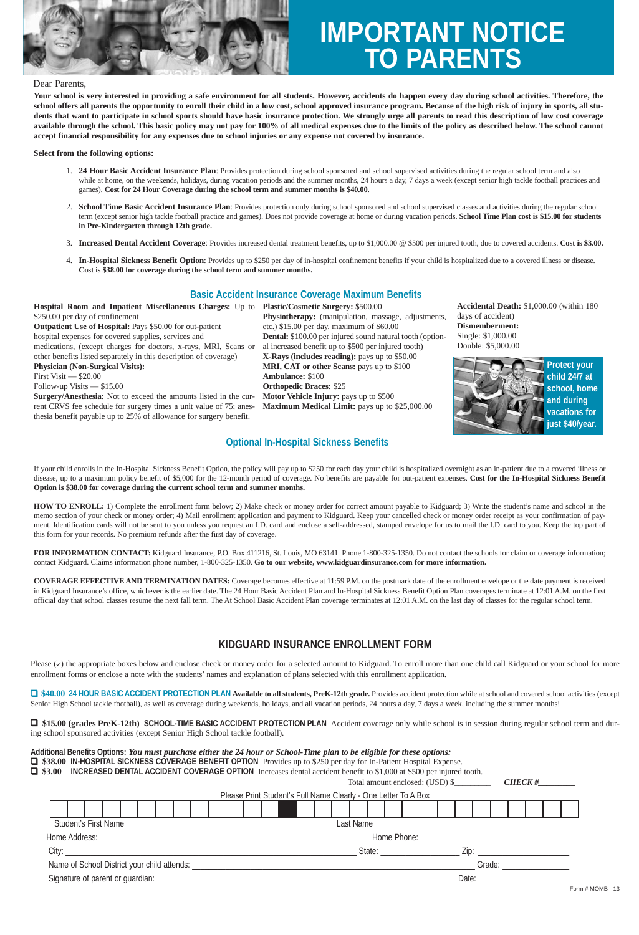

# **TO PARENTS IMPORTANT NOTICE**

## Dear Parents,

**Your school is very interested in providing a safe environment for all students. However, accidents do happen every day during school activities. Therefore, the school offers all parents the opportunity to enroll their child in a low cost, school approved insurance program. Because of the high risk of injury in sports, all students that want to participate in school sports should have basic insurance protection. We strongly urge all parents to read this description of low cost coverage available through the school. This basic policy may not pay for 100% of all medical expenses due to the limits of the policy as described below. The school cannot accept financial responsibility for any expenses due to school injuries or any expense not covered by insurance.**

#### **Select from the following options:**

- 1. **24 Hour Basic Accident Insurance Plan**: Provides protection during school sponsored and school supervised activities during the regular school term and also while at home, on the weekends, holidays, during vacation periods and the summer months, 24 hours a day, 7 days a week (except senior high tackle football practices and games). **Cost for 24 Hour Coverage during the school term and summer months is \$40.00.**
- 2. **School Time Basic Accident Insurance Plan**: Provides protection only during school sponsored and school supervised classes and activities during the regular school term (except senior high tackle football practice and games). Does not provide coverage at home or during vacation periods. **School Time Plan cost is \$15.00 for students in Pre-Kindergarten through 12th grade.**
- 3. **Increased Dental Accident Coverage**: Provides increased dental treatment benefits, up to \$1,000.00 @ \$500 per injured tooth, due to covered accidents. **Cost is \$3.00.**
- 4. **In-Hospital Sickness Benefit Option**: Provides up to \$250 per day of in-hospital confinement benefits if your child is hospitalized due to a covered illness or disease. **Cost is \$38.00 for coverage during the school term and summer months.**

## **Basic Accident Insurance Coverage Maximum Benefits**

**Hospital Room and Inpatient Miscellaneous Charges:** Up to **Plastic/Cosmetic Surgery:** \$500.00 \$250.00 per day of confinement **Outpatient Use of Hospital:** Pays \$50.00 for out-patient hospital expenses for covered supplies, services and

medications, (except charges for doctors, x-rays, MRI, Scans or other benefits listed separately in this description of coverage) **Physician (Non-Surgical Visits):** First Visit — \$20.00 Follow-up Visits — \$15.00

**Surgery/Anesthesia:** Not to exceed the amounts listed in the current CRVS fee schedule for surgery times a unit value of 75; anesthesia benefit payable up to 25% of allowance for surgery benefit.

**Physiotherapy:** (manipulation, massage, adjustments, etc.) \$15.00 per day, maximum of \$60.00 **Dental:** \$100.00 per injured sound natural tooth (optional increased benefit up to \$500 per injured tooth) **X-Rays (includes reading):** pays up to \$50.00 **MRI, CAT or other Scans:** pays up to \$100 **Ambulance:** \$100 **Orthopedic Braces:** \$25 **Motor Vehicle Injury:** pays up to \$500 **Maximum Medical Limit:** pays up to \$25,000.00

## **Optional In-Hospital Sickness Benefits**

**Accidental Death:** \$1,000.00 (within 180 days of accident) **Dismemberment:** Single: \$1,000.00 Double: \$5,000.00



If your child enrolls in the In-Hospital Sickness Benefit Option, the policy will pay up to \$250 for each day your child is hospitalized overnight as an in-patient due to a covered illness or disease, up to a maximum policy benefit of \$5,000 for the 12-month period of coverage. No benefits are payable for out-patient expenses. **Cost for the In-Hospital Sickness Benefit Option is \$38.00 for coverage during the current school term and summer months.**

**HOW TO ENROLL:** 1) Complete the enrollment form below; 2) Make check or money order for correct amount payable to Kidguard; 3) Write the student's name and school in the memo section of your check or money order; 4) Mail enrollment application and payment to Kidguard. Keep your cancelled check or money order receipt as your confirmation of payment. Identification cards will not be sent to you unless you request an I.D. card and enclose a self-addressed, stamped envelope for us to mail the I.D. card to you. Keep the top part of this form for your records. No premium refunds after the first day of coverage.

**FOR INFORMATION CONTACT:** Kidguard Insurance, P.O. Box 411216, St. Louis, MO 63141. Phone 1-800-325-1350. Do not contact the schools for claim or coverage information; contact Kidguard. Claims information phone number, 1-800-325-1350. **Go to our website, www.kidguardinsurance.com for more information.**

**COVERAGE EFFECTIVE AND TERMINATION DATES:** Coverage becomes effective at 11:59 P.M. on the postmark date of the enrollment envelope or the date payment is received in Kidguard Insurance's office, whichever is the earlier date. The 24 Hour Basic Accident Plan and In-Hospital Sickness Benefit Option Plan coverages terminate at 12:01 A.M. on the first official day that school classes resume the next fall term. The At School Basic Accident Plan coverage terminates at 12:01 A.M. on the last day of classes for the regular school term.

## **KIDGUARD INSURANCE ENROLLMENT FORM**

Please  $(\checkmark)$  the appropriate boxes below and enclose check or money order for a selected amount to Kidguard. To enroll more than one child call Kidguard or your school for more enrollment forms or enclose a note with the students' names and explanation of plans selected with this enrollment application.

1 **\$40.00 24 HOUR BASIC ACCIDENT PROTECTION PLAN Available to all students, PreK-12th grade.** Provides accident protection while at school and covered school activities (except Senior High School tackle football), as well as coverage during weekends, holidays, and all vacation periods, 24 hours a day, 7 days a week, including the summer months!

1 **\$15.00 (grades PreK-12th) SCHOOL-TIME BASIC ACCIDENT PROTECTION PLAN** Accident coverage only while school is in session during regular school term and during school sponsored activities (except Senior High School tackle football).

| Additional Benefits Options: You must purchase either the 24 hour or School-Time plan to be eligible for these options: |                                                                                                                      |                                                                                                                                  |  |  |  |  |  |  |  |  |  |  |  |               |           |  |  |  |  |  |  |  |  |  |  |
|-------------------------------------------------------------------------------------------------------------------------|----------------------------------------------------------------------------------------------------------------------|----------------------------------------------------------------------------------------------------------------------------------|--|--|--|--|--|--|--|--|--|--|--|---------------|-----------|--|--|--|--|--|--|--|--|--|--|
|                                                                                                                         | □ \$38.00 IN-HOSPITAL SICKNESS COVERAGE BENEFIT OPTION Provides up to \$250 per day for In-Patient Hospital Expense. |                                                                                                                                  |  |  |  |  |  |  |  |  |  |  |  |               |           |  |  |  |  |  |  |  |  |  |  |
|                                                                                                                         |                                                                                                                      | $\Box$ \$3.00 INCREASED DENTAL ACCIDENT COVERAGE OPTION Increases dental accident benefit to \$1,000 at \$500 per injured tooth. |  |  |  |  |  |  |  |  |  |  |  |               |           |  |  |  |  |  |  |  |  |  |  |
|                                                                                                                         |                                                                                                                      | Total amount enclosed: (USD) \$                                                                                                  |  |  |  |  |  |  |  |  |  |  |  | <b>CHECK#</b> |           |  |  |  |  |  |  |  |  |  |  |
|                                                                                                                         | Please Print Student's Full Name Clearly - One Letter To A Box                                                       |                                                                                                                                  |  |  |  |  |  |  |  |  |  |  |  |               |           |  |  |  |  |  |  |  |  |  |  |
|                                                                                                                         |                                                                                                                      |                                                                                                                                  |  |  |  |  |  |  |  |  |  |  |  |               |           |  |  |  |  |  |  |  |  |  |  |
|                                                                                                                         | <b>Student's First Name</b>                                                                                          |                                                                                                                                  |  |  |  |  |  |  |  |  |  |  |  |               | Last Name |  |  |  |  |  |  |  |  |  |  |

| Home Address:                               | Home Phone:   |  |
|---------------------------------------------|---------------|--|
| City:                                       | State:<br>/in |  |
| Name of School District your child attends: | Grade:        |  |
| Signature of parent or guardian:            | Date          |  |